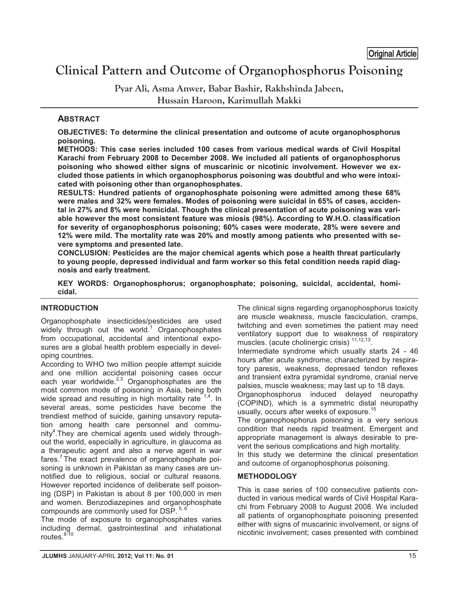# **Clinical Pattern and Outcome of Organophosphorus Poisoning**  Original Article

**Pyar Ali, Asma Anwer, Babar Bashir, Rakhshinda Jabeen, Hussain Haroon, Karimullah Makki** 

## **ABSTRACT**

**OBJECTIVES: To determine the clinical presentation and outcome of acute organophosphorus poisoning.** 

**METHODS: This case series included 100 cases from various medical wards of Civil Hospital Karachi from February 2008 to December 2008. We included all patients of organophosphorus poisoning who showed either signs of muscarinic or nicotinic involvement. However we excluded those patients in which organophosphorus poisoning was doubtful and who were intoxicated with poisoning other than organophosphates.** 

**RESULTS: Hundred patients of organophosphate poisoning were admitted among these 68% were males and 32% were females. Modes of poisoning were suicidal in 65% of cases, accidental in 27% and 8% were homicidal. Though the clinical presentation of acute poisoning was variable however the most consistent feature was miosis (98%). According to W.H.O. classification for severity of organophosphorus poisoning; 60% cases were moderate, 28% were severe and 12% were mild. The mortality rate was 20% and mostly among patients who presented with severe symptoms and presented late.** 

**CONCLUSION: Pesticides are the major chemical agents which pose a health threat particularly to young people, depressed individual and farm worker so this fetal condition needs rapid diagnosis and early treatment.** 

**KEY WORDS: Organophosphorus; organophosphate; poisoning, suicidal, accidental, homicidal.**

## **INTRODUCTION**

Organophosphate insecticides/pesticides are used widely through out the world.<sup>1</sup> Organophosphates from occupational, accidental and intentional exposures are a global health problem especially in developing countries.

According to WHO two million people attempt suicide and one million accidental poisoning cases occur each year worldwide. $^{2,3}$  Organophosphates are the most common mode of poisoning in Asia, being both wide spread and resulting in high mortality rate  $1,4$ . In several areas, some pesticides have become the trendiest method of suicide, gaining unsavory reputation among health care personnel and community<sup>4</sup>. They are chemical agents used widely throughout the world, especially in agriculture, in glaucoma as a therapeutic agent and also a nerve agent in war fares.<sup>7</sup> The exact prevalence of organophosphate poisoning is unknown in Pakistan as many cases are unnotified due to religious, social or cultural reasons. However reported incidence of deliberate self poisoning (DSP) in Pakistan is about 8 per 100,000 in men and women. Benzodiazepines and organophosphate compounds are commonly used for DSP. 5, 6

The mode of exposure to organophosphates varies including dermal, gastrointestinal and inhalational routes.<sup>8-10</sup>

The clinical signs regarding organophosphorus toxicity are muscle weakness, muscle fasciculation, cramps, twitching and even sometimes the patient may need ventilatory support due to weakness of respiratory muscles. (acute cholinergic crisis)<sup>11,12,13</sup>

Intermediate syndrome which usually starts 24 - 46 hours after acute syndrome; characterized by respiratory paresis, weakness, depressed tendon reflexes and transient extra pyramidal syndrome, cranial nerve palsies, muscle weakness; may last up to 18 days.

Organophosphorus induced delayed neuropathy (COPIND), which is a symmetric distal neuropathy usually, occurs after weeks of exposure.<sup>15</sup>

The organophosphorus poisoning is a very serious condition that needs rapid treatment. Emergent and appropriate management is always desirable to prevent the serious complications and high mortality.

In this study we determine the clinical presentation and outcome of organophosphorus poisoning.

### **METHODOLOGY**

This is case series of 100 consecutive patients conducted in various medical wards of Civil Hospital Karachi from February 2008 to August 2008. We included all patients of organophosphate poisoning presented either with signs of muscarinic involvement, or signs of nicotinic involvement; cases presented with combined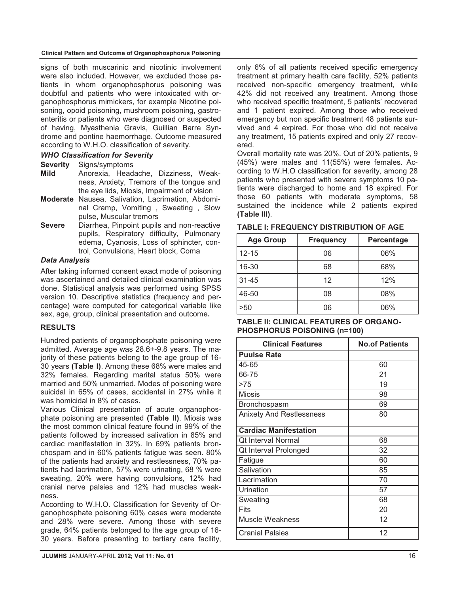#### **Clinical Pattern and Outcome of Organophosphorus Poisoning**

signs of both muscarinic and nicotinic involvement were also included. However, we excluded those patients in whom organophosphorus poisoning was doubtful and patients who were intoxicated with organophosphorus mimickers, for example Nicotine poisoning, opoid poisoning, mushroom poisoning, gastroenteritis or patients who were diagnosed or suspected of having, Myasthenia Gravis, Guillian Barre Syndrome and pontine haemorrhage. Outcome measured according to W.H.O. classification of severity.

### *WHO Classification for Severity*

**Severity** Signs/symptoms

- **Mild** Anorexia, Headache, Dizziness, Weakness, Anxiety, Tremors of the tongue and the eye lids, Miosis, Impairment of vision
- **Moderate** Nausea, Salivation, Lacrimation, Abdominal Cramp, Vomiting , Sweating , Slow pulse, Muscular tremors
- **Severe** Diarrhea, Pinpoint pupils and non-reactive pupils, Respiratory difficulty, Pulmonary edema, Cyanosis, Loss of sphincter, control, Convulsions, Heart block, Coma

### *Data Analysis*

After taking informed consent exact mode of poisoning was ascertained and detailed clinical examination was done. Statistical analysis was performed using SPSS version 10. Descriptive statistics (frequency and percentage) were computed for categorical variable like sex, age, group, clinical presentation and outcome**.** 

### **RESULTS**

Hundred patients of organophosphate poisoning were admitted. Average age was 28.6+-9.8 years. The majority of these patients belong to the age group of 16- 30 years **(Table I)**. Among these 68% were males and 32% females. Regarding marital status 50% were married and 50% unmarried. Modes of poisoning were suicidal in 65% of cases, accidental in 27% while it was homicidal in 8% of cases.

Various Clinical presentation of acute organophosphate poisoning are presented **(Table II)**. Miosis was the most common clinical feature found in 99% of the patients followed by increased salivation in 85% and cardiac manifestation in 32%. In 69% patients bronchospam and in 60% patients fatigue was seen. 80% of the patients had anxiety and restlessness, 70% patients had lacrimation, 57% were urinating, 68 % were sweating, 20% were having convulsions, 12% had cranial nerve palsies and 12% had muscles weakness.

According to W.H.O. Classification for Severity of Organophosphate poisoning 60% cases were moderate and 28% were severe. Among those with severe grade, 64% patients belonged to the age group of 16- 30 years. Before presenting to tertiary care facility,

only 6% of all patients received specific emergency treatment at primary health care facility, 52% patients received non-specific emergency treatment, while 42% did not received any treatment. Among those who received specific treatment, 5 patients' recovered and 1 patient expired. Among those who received emergency but non specific treatment 48 patients survived and 4 expired. For those who did not receive any treatment, 15 patients expired and only 27 recovered.

Overall mortality rate was 20%. Out of 20% patients, 9 (45%) were males and 11(55%) were females. According to W.H.O classification for severity, among 28 patients who presented with severe symptoms 10 patients were discharged to home and 18 expired. For those 60 patients with moderate symptoms, 58 sustained the incidence while 2 patients expired **(Table III)**.

| <b>Age Group</b> | <b>Frequency</b> | <b>Percentage</b> |  |
|------------------|------------------|-------------------|--|
| $12 - 15$        | 06               | 06%               |  |
| 16-30            | 68               | 68%               |  |
| $31 - 45$        | 12               | 12%               |  |
| 46-50            | 08               | 08%               |  |
| >50              | 06               | 06%               |  |

#### **TABLE I: FREQUENCY DISTRIBUTION OF AGE**

| <b>TABLE II: CLINICAL FEATURES OF ORGANO-</b> |
|-----------------------------------------------|
| <b>PHOSPHORUS POISONING (n=100)</b>           |

| <b>Clinical Features</b>        | <b>No.of Patients</b> |
|---------------------------------|-----------------------|
| <b>Puulse Rate</b>              |                       |
| 45-65                           | 60                    |
| 66-75                           | 21                    |
| >75                             | 19                    |
| <b>Miosis</b>                   | 98                    |
| Bronchospasm                    | 69                    |
| <b>Anixety And Restlessness</b> | 80                    |
| <b>Cardiac Manifestation</b>    |                       |
| <b>Qt Interval Normal</b>       | 68                    |
| Qt Interval Prolonged           | 32                    |
| Fatigue                         | 60                    |
| Salivation                      | 85                    |
| Lacrimation                     | 70                    |
| Urination                       | 57                    |
| Sweating                        | 68                    |
| Fits                            | 20                    |
| Muscle Weakness                 | 12                    |
| <b>Cranial Palsies</b>          | 12                    |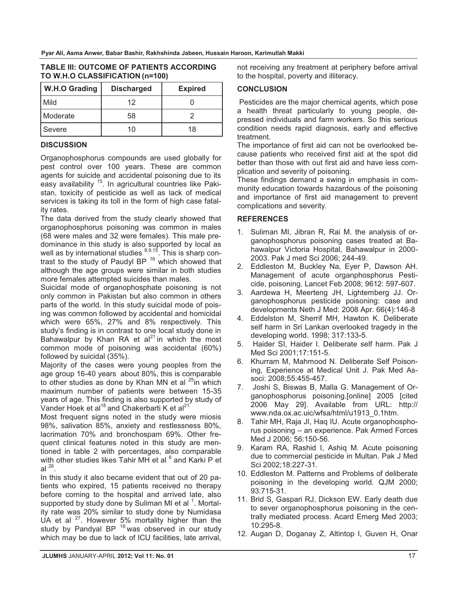| וטטו חוטרוסה ווטסורנוסט אונוייזי |                   |                |  |
|----------------------------------|-------------------|----------------|--|
| <b>W.H.O Grading</b>             | <b>Discharged</b> | <b>Expired</b> |  |
| Mild                             | 12                |                |  |
| Moderate                         | 58                |                |  |
| Severe                           | 10                | 18             |  |

#### **TABLE III: OUTCOME OF PATIENTS ACCORDING TO W.H.O CLASSIFICATION (n=100)**

### **DISCUSSION**

Organophosphorus compounds are used globally for pest control over 100 years. These are common agents for suicide and accidental poisoning due to its easy availability <sup>15</sup>. In agricultural countries like Pakistan, toxicity of pesticide as well as lack of medical services is taking its toll in the form of high case fatality rates.

The data derived from the study clearly showed that organophosphorus poisoning was common in males (68 were males and 32 were females). This male predominance in this study is also supported by local as well as by international studies  $8,9,15$ . This is sharp contrast to the study of Paudyl BP 16 which showed that although the age groups were similar in both studies more females attempted suicides than males.

Suicidal mode of organophosphate poisoning is not only common in Pakistan but also common in others parts of the world. In this study suicidal mode of poising was common followed by accidental and homicidal which were 65%, 27% and 8% respectively. This study's finding is in contrast to one local study done in Bahawalpur by Khan RA et al $^{21}$  in which the most common mode of poisoning was accidental (60%) followed by suicidal (35%).

Majority of the cases were young peoples from the age group 16-40 years about 80%, this is comparable to other studies as done by Khan MN et al  $^{25}$ in which maximum number of patients were between 15-35 years of age. This finding is also supported by study of Vander Hoek et al<sup>18</sup> and Chakerbarti K et al<sup>21.</sup>

Most frequent signs noted in the study were miosis 98%, salivation 85%, anxiety and restlessness 80%, lacrimation 70% and bronchospam 69%. Other frequent clinical features noted in this study are mentioned in table 2 with percentages, also comparable with other studies likes Tahir MH et al <sup>8</sup> and Karki P et al  $^{26}$ .

In this study it also became evident that out of 20 patients who expired, 15 patients received no therapy before coming to the hospital and arrived late, also supported by study done by Suliman MI et al <sup>1</sup>. Mortality rate was 20% similar to study done by Numidasa UA et al 27. However 5% mortality higher than the study by Pandyal BP  $16$  was observed in our study which may be due to lack of ICU facilities, late arrival, not receiving any treatment at periphery before arrival to the hospital, poverty and illiteracy.

## **CONCLUSION**

 Pesticides are the major chemical agents, which pose a health threat particularly to young people, depressed individuals and farm workers. So this serious condition needs rapid diagnosis, early and effective treatment.

The importance of first aid can not be overlooked because patients who received first aid at the spot did better than those with out first aid and have less complication and severity of poisoning.

These findings demand a swing in emphasis in community education towards hazardous of the poisoning and importance of first aid management to prevent complications and severity.

## **REFERENCES**

- 1. Suliman MI, Jibran R, Rai M. the analysis of organophosphorus poisoning cases treated at Bahawalpur Victoria Hospital, Bahawalpur in 2000- 2003. Pak J med Sci 2006; 244-49.
- 2. Eddleston M, Buckley Na, Eyer P, Dawson AH. Management of acute organphosphorus Pesticide, poisoning. Lancet Feb 2008; 9612: 597-607.
- 3. Aardewa H, Meerteng JH, Lightemberg JJ. Organophosphorus pesticide poisoning: case and developments Neth J Med: 2008 Apr. 66(4):146-8
- 4. Eddelston M, Sherrif MH, Hawton K. Deliberate self harm in Sri Lankan overlooked tragedy in the developing world. 1998; 317:133-5.
- 5. Haider SI, Haider I. Deliberate self harm. Pak J Med Sci 2001;17:151-5.
- 6. Khurram M, Mahmood N. Deliberate Self Poisoning, Experience at Medical Unit J. Pak Med Associ: 2008;55:455-457.
- 7. Joshi S, Biswas B, Malla G. Management of Organophosphorus poisoning.[online] 2005 [cited 2006 May 29]. Available from URL: http:// www.nda.ox.ac.uic/wfsa/html/u1913\_0.1htm.
- 8. Tahir MH, Raja JI, Haq IU. Acute organophosphorus poisoning – an experience. Pak Armed Forces Med J 2006; 56:150-56.
- 9. Karam RA, Rashid I, Ashiq M. Acute poisoning due to commercial pesticide in Multan. Pak J Med Sci 2002;18:227-31.
- 10. Eddleston M. Patterns and Problems of deliberate poisoning in the developing world. QJM 2000; 93:715-31.
- 11. Brid S, Gaspari RJ, Dickson EW. Early death due to sever organophosphorus poisoning in the centrally mediated process. Acard Emerg Med 2003; 10:295-8.
- 12. Augan D, Doganay Z, Altintop I, Guven H, Onar